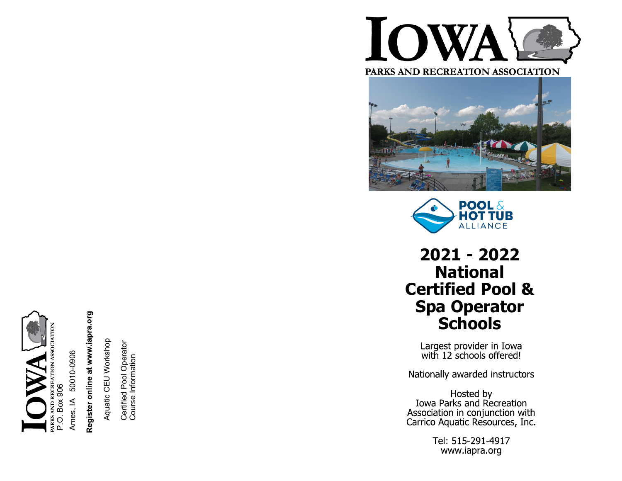

Ames, IA 50010-0906

# Register online at www.iapra.org

Aquatic CEU Workshop Aquatic CEU Workshop

Certified Pool Operator Certified Pool Operator<br>Course Information Course Information



PARKS AND RECREATION ASSOCIATION





# **2021 - 2022 National Certified Pool & Spa Operator Schools**

Largest provider in Iowa<br>with 12 schools offered!

Nationally awarded instructors

Hosted by<br>Iowa Parks and Recreation Association in conjunction with<br>Carrico Aquatic Resources, Inc.

> Tel: 515-291-4917 www.iapra.org